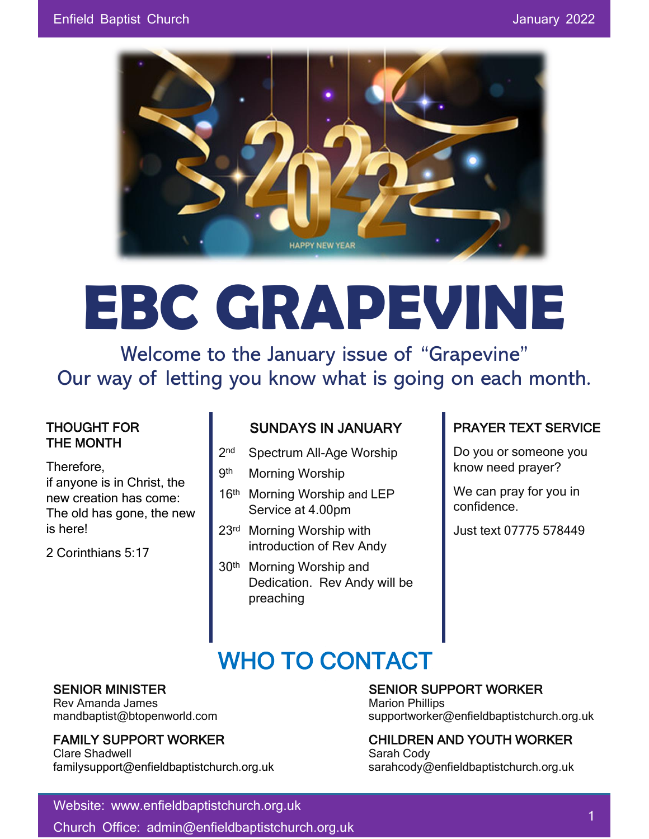

# **EBC GRAPEVINE**

Welcome to the January issue of "Grapevine" Our way of letting you know what is going on each month.

#### THOUGHT FOR THE MONTH

Therefore,

if anyone is in Christ, the new creation has come: The old has gone, the new is here!

2 Corinthians 5:17

#### SUNDAYS IN JANUARY

- $2<sub>nd</sub>$ Spectrum All-Age Worship
- **9th Morning Worship**
- 16<sup>th</sup> Morning Worship and LEP Service at 4.00pm
- 23rd Morning Worship with introduction of Rev Andy
- 30<sup>th</sup> Morning Worship and Dedication. Rev Andy will be preaching

#### PRAYER TEXT SERVICE

Do you or someone you know need prayer?

We can pray for you in confidence.

Just text 07775 578449

## WHO TO CONTACT

Rev Amanda James Marion Phillips New York 1997

Clare Shadwell **Sarah Cody** Sarah Cody familysupport@enfieldbaptistchurch.org.uk sarahcody@enfieldbaptistchurch.org.uk

#### SENIOR MINISTER SENIOR SUPPORT WORKER

mandbaptist@btopenworld.com supportworker@enfieldbaptistchurch.org.uk

## FAMILY SUPPORT WORKER CHILDREN AND YOUTH WORKER

Website: www.enfieldbaptistchurch.org.uk

Church Office: admin@enfieldbaptistchurch.org.uk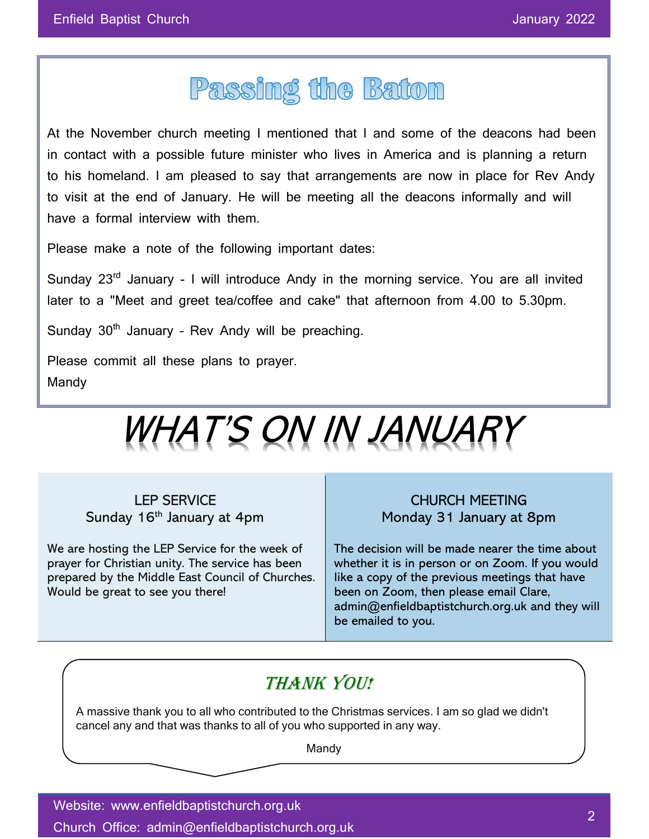## Passing the Baton

At the November church meeting I mentioned that I and some of the deacons had been in contact with a possible future minister who lives in America and is planning a return to his homeland. I am pleased to say that arrangements are now in place for Rev Andy to visit at the end of January. He will be meeting all the deacons informally and will have a formal interview with them.

Please make a note of the following important dates:

Sunday 23<sup>rd</sup> January - I will introduce Andy in the morning service. You are all invited later to a "Meet and greet tea/coffee and cake" that afternoon from 4.00 to 5.30pm.

Sunday  $30<sup>th</sup>$  January - Rev Andy will be preaching.

Please commit all these plans to prayer. Mandy



LEP SERVICE Sunday 16<sup>th</sup> January at 4pm

We are hosting the LEP Service for the week of prayer for Christian unity. The service has been prepared by the Middle East Council of Churches. Would be great to see you there!

CHURCH MEETING Monday 31 January at 8pm

The decision will be made nearer the time about whether it is in person or on Zoom. If you would like a copy of the previous meetings that have been on Zoom, then please email Clare, admin@enfieldbaptistchurch.org.uk and they will be emailed to you.

### THANK YOU!

A massive thank you to all who contributed to the Christmas services. I am so glad we didn't cancel any and that was thanks to all of you who supported in any way.

Mandy

Website: www.enfieldbaptistchurch.org.uk Church Office: admin@enfieldbaptistchurch.org.uk